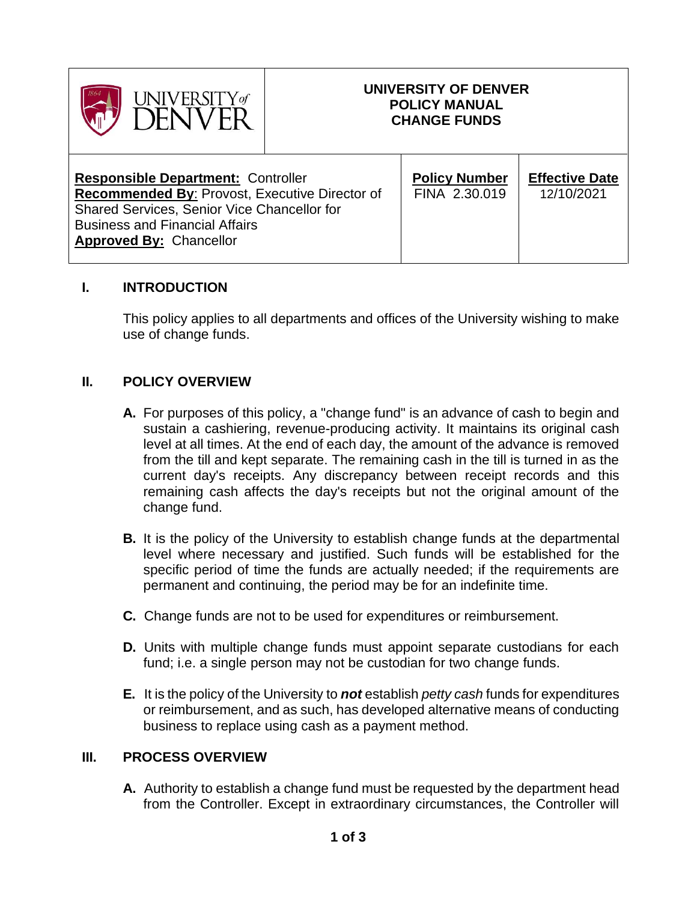

# **UNIVERSITY OF DENVER POLICY MANUAL CHANGE FUNDS**

## **I. INTRODUCTION**

This policy applies to all departments and offices of the University wishing to make use of change funds.

## **II. POLICY OVERVIEW**

- **A.** For purposes of this policy, a "change fund" is an advance of cash to begin and sustain a cashiering, revenue-producing activity. It maintains its original cash level at all times. At the end of each day, the amount of the advance is removed from the till and kept separate. The remaining cash in the till is turned in as the current day's receipts. Any discrepancy between receipt records and this remaining cash affects the day's receipts but not the original amount of the change fund.
- **B.** It is the policy of the University to establish change funds at the departmental level where necessary and justified. Such funds will be established for the specific period of time the funds are actually needed; if the requirements are permanent and continuing, the period may be for an indefinite time.
- **C.** Change funds are not to be used for expenditures or reimbursement.
- **D.** Units with multiple change funds must appoint separate custodians for each fund; i.e. a single person may not be custodian for two change funds.
- **E.** It is the policy of the University to *not* establish *petty cash* funds for expenditures or reimbursement, and as such, has developed alternative means of conducting business to replace using cash as a payment method.

### **III. PROCESS OVERVIEW**

**A.** Authority to establish a change fund must be requested by the department head from the Controller. Except in extraordinary circumstances, the Controller will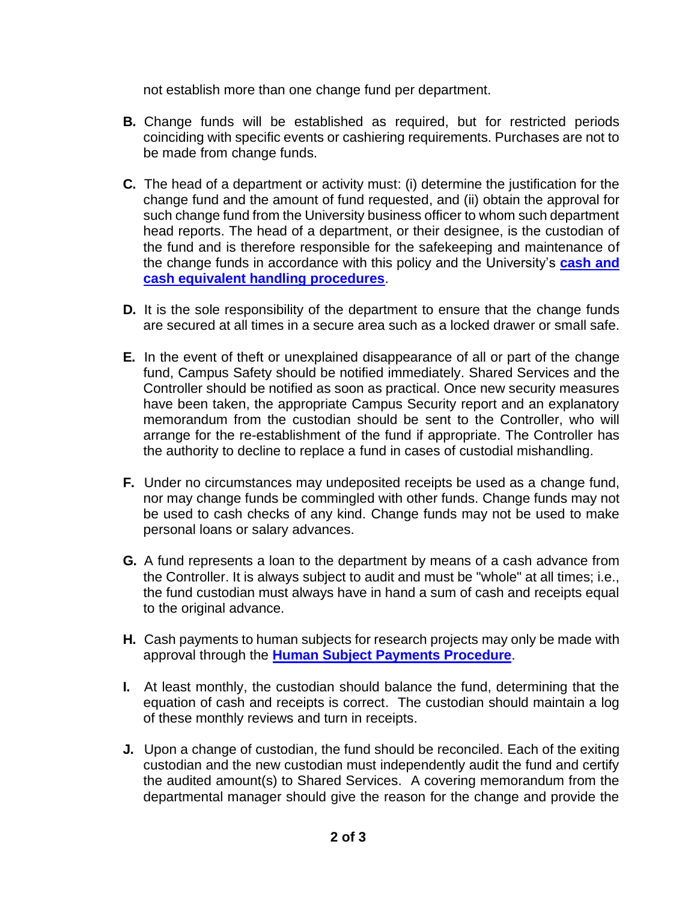not establish more than one change fund per department.

- **B.** Change funds will be established as required, but for restricted periods coinciding with specific events or cashiering requirements. Purchases are not to be made from change funds.
- **C.** The head of a department or activity must: (i) determine the justification for the change fund and the amount of fund requested, and (ii) obtain the approval for such change fund from the University business officer to whom such department head reports. The head of a department, or their designee, is the custodian of the fund and is therefore responsible for the safekeeping and maintenance of the change funds in accordance with this policy and the University's **[cash and](https://www.du.edu/controller/media/documents/cash_and_cash_equivalent_handling_procedures.pdf)  [cash equivalent handling procedures](https://www.du.edu/controller/media/documents/cash_and_cash_equivalent_handling_procedures.pdf)**.
- **D.** It is the sole responsibility of the department to ensure that the change funds are secured at all times in a secure area such as a locked drawer or small safe.
- **E.** In the event of theft or unexplained disappearance of all or part of the change fund, Campus Safety should be notified immediately. Shared Services and the Controller should be notified as soon as practical. Once new security measures have been taken, the appropriate Campus Security report and an explanatory memorandum from the custodian should be sent to the Controller, who will arrange for the re-establishment of the fund if appropriate. The Controller has the authority to decline to replace a fund in cases of custodial mishandling.
- **F.** Under no circumstances may undeposited receipts be used as a change fund, nor may change funds be commingled with other funds. Change funds may not be used to cash checks of any kind. Change funds may not be used to make personal loans or salary advances.
- **G.** A fund represents a loan to the department by means of a cash advance from the Controller. It is always subject to audit and must be "whole" at all times; i.e., the fund custodian must always have in hand a sum of cash and receipts equal to the original advance.
- **H.** Cash payments to human subjects for research projects may only be made with approval through the **[Human Subject Payments](https://www.du.edu/sharedservices/media/documents/orsp/human-subject-payments-procedure.pdf) Procedure**.
- **I.** At least monthly, the custodian should balance the fund, determining that the equation of cash and receipts is correct. The custodian should maintain a log of these monthly reviews and turn in receipts.
- **J.** Upon a change of custodian, the fund should be reconciled. Each of the exiting custodian and the new custodian must independently audit the fund and certify the audited amount(s) to Shared Services. A covering memorandum from the departmental manager should give the reason for the change and provide the